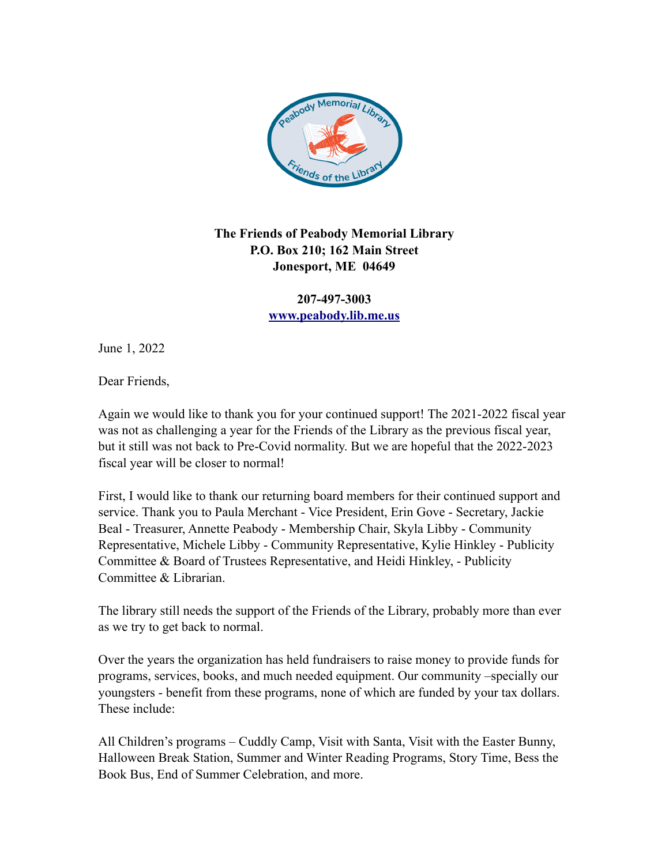

## **The Friends of Peabody Memorial Library P.O. Box 210; 162 Main Street Jonesport, ME 04649**

**207-497-3003 [www.peabody.lib.me.us](http://www.peabody.lib.me.us/)**

June 1, 2022

Dear Friends,

Again we would like to thank you for your continued support! The 2021-2022 fiscal year was not as challenging a year for the Friends of the Library as the previous fiscal year, but it still was not back to Pre-Covid normality. But we are hopeful that the 2022-2023 fiscal year will be closer to normal!

First, I would like to thank our returning board members for their continued support and service. Thank you to Paula Merchant - Vice President, Erin Gove - Secretary, Jackie Beal - Treasurer, Annette Peabody - Membership Chair, Skyla Libby - Community Representative, Michele Libby - Community Representative, Kylie Hinkley - Publicity Committee & Board of Trustees Representative, and Heidi Hinkley, - Publicity Committee & Librarian.

The library still needs the support of the Friends of the Library, probably more than ever as we try to get back to normal.

Over the years the organization has held fundraisers to raise money to provide funds for programs, services, books, and much needed equipment. Our community –specially our youngsters - benefit from these programs, none of which are funded by your tax dollars. These include:

All Children's programs – Cuddly Camp, Visit with Santa, Visit with the Easter Bunny, Halloween Break Station, Summer and Winter Reading Programs, Story Time, Bess the Book Bus, End of Summer Celebration, and more.